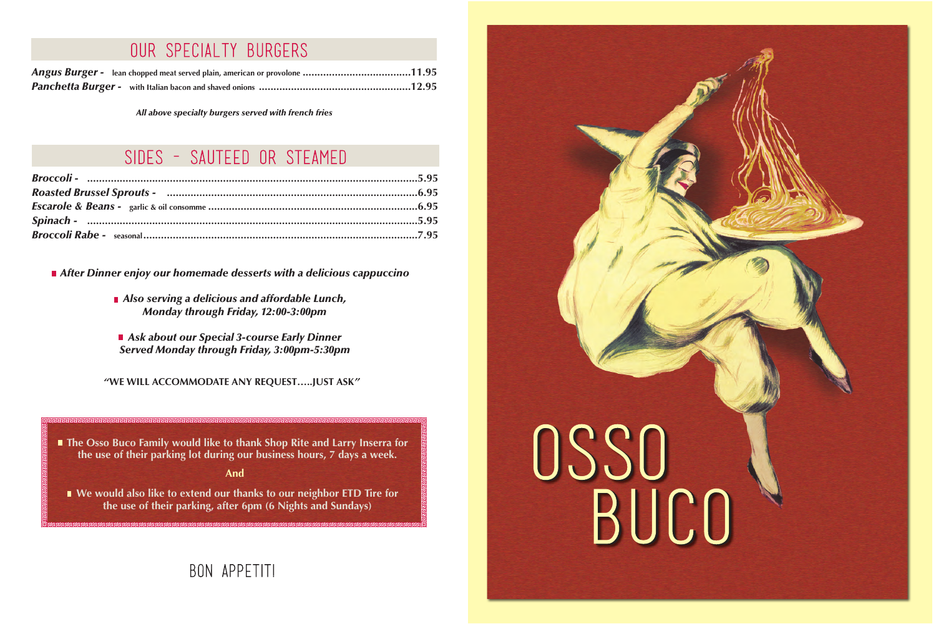*"***WE WILL ACCOMMODATE ANY REQUEST…..JUST ASK** *"*

*After Dinner enjoy our homemade desserts with a delicious cappuccino*

*Also serving a delicious and affordable Lunch, Monday through Friday, 12:00-3:00pm*

**The Osso Buco Family would like to thank Shop Rite and Larry Inserra for the use of their parking lot during our business hours, 7 days a week.**

*Ask about our Special 3-course Early Dinner Served Monday through Friday, 3:00pm-5:30pm*



**We would also like to extend our thanks to our neighbor ETD Tire for the use of their parking, after 6pm (6 Nights and Sundays)**

## BON APPETITI

| Angus Burger - lean chopped meat served plain, american or provolone 11.95 |  |
|----------------------------------------------------------------------------|--|
|                                                                            |  |

## our specialty burgers

*All above specialty burgers served with french fries*

## SIDES - SAUTEED OR STEAMED

**And**